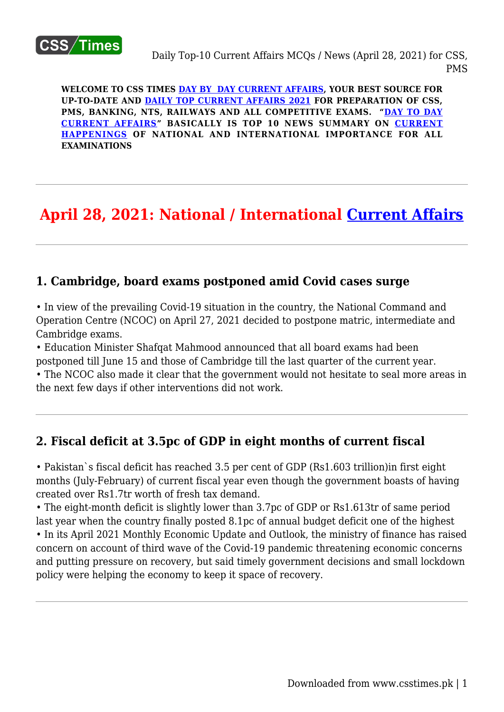

**WELCOME TO CSS TIMES [DAY BY DAY CURRENT AFFAIRS](https://www.csstimes.pk/category/csssubject/csscompulsorysubjects/currentaffairs/), YOUR BEST SOURCE FOR UP-TO-DATE AND [DAILY TOP CURRENT AFFAIRS 2021](https://www.csstimes.pk/category/csssubject/csscompulsorysubjects/currentaffairs/) FOR PREPARATION OF CSS, PMS, BANKING, NTS, RAILWAYS AND ALL COMPETITIVE EXAMS. "[DAY TO DAY](https://www.csstimes.pk/category/csssubject/csscompulsorysubjects/currentaffairs/) [CURRENT AFFAIRS"](https://www.csstimes.pk/category/csssubject/csscompulsorysubjects/currentaffairs/) BASICALLY IS TOP 10 NEWS SUMMARY ON [CURRENT](https://www.csstimes.pk/category/csssubject/csscompulsorysubjects/currentaffairs/) [HAPPENINGS](https://www.csstimes.pk/category/csssubject/csscompulsorysubjects/currentaffairs/) OF NATIONAL AND INTERNATIONAL IMPORTANCE FOR ALL EXAMINATIONS**

# **April 28, 2021: National / International [Current Affairs](https://www.csstimes.pk/category/csssubject/csscompulsorysubjects/currentaffairs/)**

#### **1. Cambridge, board exams postponed amid Covid cases surge**

• In view of the prevailing Covid-19 situation in the country, the National Command and Operation Centre (NCOC) on April 27, 2021 decided to postpone matric, intermediate and Cambridge exams.

• Education Minister Shafqat Mahmood announced that all board exams had been postponed till June 15 and those of Cambridge till the last quarter of the current year.

• The NCOC also made it clear that the government would not hesitate to seal more areas in the next few days if other interventions did not work.

## **2. Fiscal deficit at 3.5pc of GDP in eight months of current fiscal**

• Pakistan`s fiscal deficit has reached 3.5 per cent of GDP (Rs1.603 trillion)in first eight months (July-February) of current fiscal year even though the government boasts of having created over Rs1.7tr worth of fresh tax demand.

• The eight-month deficit is slightly lower than 3.7pc of GDP or Rs1.613tr of same period last year when the country finally posted 8.1pc of annual budget deficit one of the highest • In its April 2021 Monthly Economic Update and Outlook, the ministry of finance has raised concern on account of third wave of the Covid-19 pandemic threatening economic concerns and putting pressure on recovery, but said timely government decisions and small lockdown policy were helping the economy to keep it space of recovery.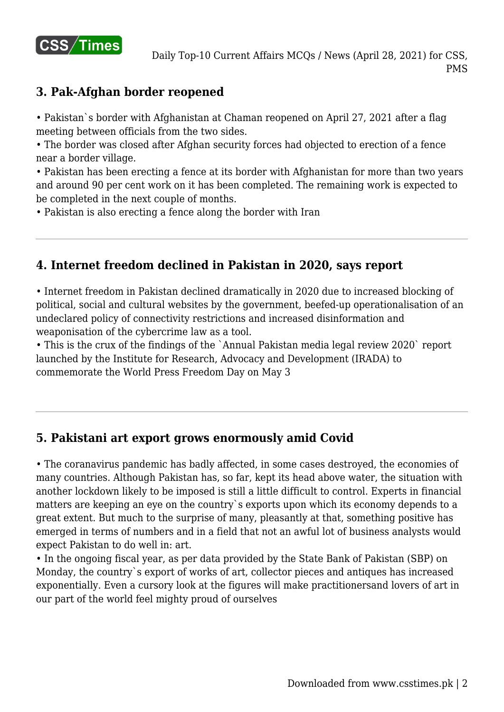

# **3. Pak-Afghan border reopened**

• Pakistan`s border with Afghanistan at Chaman reopened on April 27, 2021 after a flag meeting between officials from the two sides.

• The border was closed after Afghan security forces had objected to erection of a fence near a border village.

• Pakistan has been erecting a fence at its border with Afghanistan for more than two years and around 90 per cent work on it has been completed. The remaining work is expected to be completed in the next couple of months.

• Pakistan is also erecting a fence along the border with Iran

## **4. Internet freedom declined in Pakistan in 2020, says report**

• Internet freedom in Pakistan declined dramatically in 2020 due to increased blocking of political, social and cultural websites by the government, beefed-up operationalisation of an undeclared policy of connectivity restrictions and increased disinformation and weaponisation of the cybercrime law as a tool.

• This is the crux of the findings of the `Annual Pakistan media legal review 2020` report launched by the Institute for Research, Advocacy and Development (IRADA) to commemorate the World Press Freedom Day on May 3

## **5. Pakistani art export grows enormously amid Covid**

• The coranavirus pandemic has badly affected, in some cases destroyed, the economies of many countries. Although Pakistan has, so far, kept its head above water, the situation with another lockdown likely to be imposed is still a little difficult to control. Experts in financial matters are keeping an eye on the country`s exports upon which its economy depends to a great extent. But much to the surprise of many, pleasantly at that, something positive has emerged in terms of numbers and in a field that not an awful lot of business analysts would expect Pakistan to do well in: art.

• In the ongoing fiscal year, as per data provided by the State Bank of Pakistan (SBP) on Monday, the country`s export of works of art, collector pieces and antiques has increased exponentially. Even a cursory look at the figures will make practitionersand lovers of art in our part of the world feel mighty proud of ourselves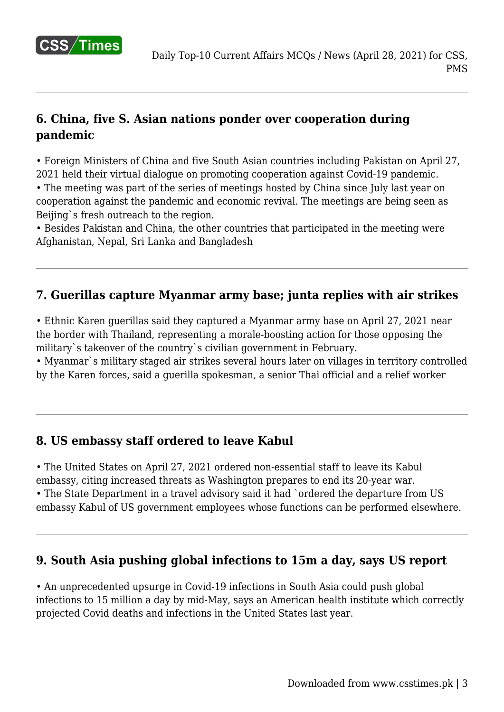

# **6. China, five S. Asian nations ponder over cooperation during pandemic**

• Foreign Ministers of China and five South Asian countries including Pakistan on April 27, 2021 held their virtual dialogue on promoting cooperation against Covid-19 pandemic.

• The meeting was part of the series of meetings hosted by China since July last year on cooperation against the pandemic and economic revival. The meetings are being seen as Beijing`s fresh outreach to the region.

• Besides Pakistan and China, the other countries that participated in the meeting were Afghanistan, Nepal, Sri Lanka and Bangladesh

## **7. Guerillas capture Myanmar army base; junta replies with air strikes**

• Ethnic Karen guerillas said they captured a Myanmar army base on April 27, 2021 near the border with Thailand, representing a morale-boosting action for those opposing the military`s takeover of the country`s civilian government in February.

• Myanmar`s military staged air strikes several hours later on villages in territory controlled by the Karen forces, said a guerilla spokesman, a senior Thai official and a relief worker

## **8. US embassy staff ordered to leave Kabul**

• The United States on April 27, 2021 ordered non-essential staff to leave its Kabul embassy, citing increased threats as Washington prepares to end its 20-year war.

• The State Department in a travel advisory said it had `ordered the departure from US embassy Kabul of US government employees whose functions can be performed elsewhere.

## **9. South Asia pushing global infections to 15m a day, says US report**

• An unprecedented upsurge in Covid-19 infections in South Asia could push global infections to 15 million a day by mid-May, says an American health institute which correctly projected Covid deaths and infections in the United States last year.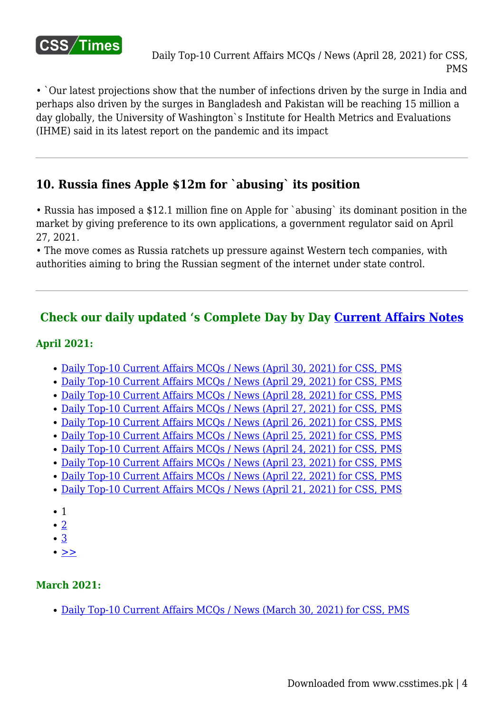

• `Our latest projections show that the number of infections driven by the surge in India and perhaps also driven by the surges in Bangladesh and Pakistan will be reaching 15 million a day globally, the University of Washington`s Institute for Health Metrics and Evaluations (IHME) said in its latest report on the pandemic and its impact

## **10. Russia fines Apple \$12m for `abusing` its position**

• Russia has imposed a \$12.1 million fine on Apple for `abusing` its dominant position in the market by giving preference to its own applications, a government regulator said on April 27, 2021.

• The move comes as Russia ratchets up pressure against Western tech companies, with authorities aiming to bring the Russian segment of the internet under state control.

## **Check our daily updated 's Complete Day by Day [Current Affairs Notes](https://www.csstimes.pk/category/csssubject/csscompulsorysubjects/currentaffairs/)**

#### **April 2021:**

- [Daily Top-10 Current Affairs MCQs / News \(April 30, 2021\) for CSS, PMS](https://www.csstimes.pk/current-affairs-mcqs-april-30-2021/)
- [Daily Top-10 Current Affairs MCQs / News \(April 29, 2021\) for CSS, PMS](https://www.csstimes.pk/current-affairs-mcqs-april-29-2021/)
- [Daily Top-10 Current Affairs MCQs / News \(April 28, 2021\) for CSS, PMS](https://www.csstimes.pk/current-affairs-mcqs-april-28-2021/)
- [Daily Top-10 Current Affairs MCQs / News \(April 27, 2021\) for CSS, PMS](https://www.csstimes.pk/current-affairs-mcqs-april-27-2021/)
- [Daily Top-10 Current Affairs MCQs / News \(April 26, 2021\) for CSS, PMS](https://www.csstimes.pk/current-affairs-mcqs-april-26-2021/)
- [Daily Top-10 Current Affairs MCQs / News \(April 25, 2021\) for CSS, PMS](https://www.csstimes.pk/current-affairs-mcqs-april-25-2021/)
- [Daily Top-10 Current Affairs MCQs / News \(April 24, 2021\) for CSS, PMS](https://www.csstimes.pk/current-affairs-mcqs-april-24-2021/)
- [Daily Top-10 Current Affairs MCQs / News \(April 23, 2021\) for CSS, PMS](https://www.csstimes.pk/current-affairs-mcqs-april-23-2021/)
- [Daily Top-10 Current Affairs MCQs / News \(April 22, 2021\) for CSS, PMS](https://www.csstimes.pk/current-affairs-mcqs-april-22-2021/)
- [Daily Top-10 Current Affairs MCQs / News \(April 21, 2021\) for CSS, PMS](https://www.csstimes.pk/current-affairs-mcqs-april-21-2021/)
- $\bullet$  1
- [2](https://www.csstimes.pk/current-affairs-mcqs-april-28-2021/?pdf=17134&lcp_page0=2#lcp_instance_0)
- [3](https://www.csstimes.pk/current-affairs-mcqs-april-28-2021/?pdf=17134&lcp_page0=3#lcp_instance_0)
- $\bullet$  [>>](https://www.csstimes.pk/current-affairs-mcqs-april-28-2021/?pdf=17134&lcp_page0=2#lcp_instance_0)

#### **March 2021:**

[Daily Top-10 Current Affairs MCQs / News \(March 30, 2021\) for CSS, PMS](https://www.csstimes.pk/current-affairs-mcqs-mar-30-2021/)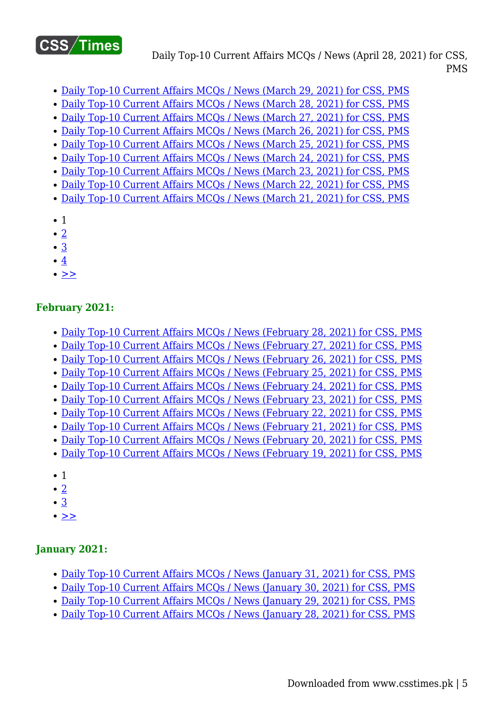

Daily Top-10 Current Affairs MCQs / News (April 28, 2021) for CSS, PMS

- [Daily Top-10 Current Affairs MCQs / News \(March 29, 2021\) for CSS, PMS](https://www.csstimes.pk/current-affairs-mcqs-mar-29-2021/)
- [Daily Top-10 Current Affairs MCQs / News \(March 28, 2021\) for CSS, PMS](https://www.csstimes.pk/current-affairs-mcqs-mar-28-2021/)
- [Daily Top-10 Current Affairs MCQs / News \(March 27, 2021\) for CSS, PMS](https://www.csstimes.pk/current-affairs-mcqs-mar-27-2021/)
- [Daily Top-10 Current Affairs MCQs / News \(March 26, 2021\) for CSS, PMS](https://www.csstimes.pk/current-affairs-mcqs-mar-26-2021/)
- [Daily Top-10 Current Affairs MCQs / News \(March 25, 2021\) for CSS, PMS](https://www.csstimes.pk/current-affairs-mcqs-mar-25-2021/)
- [Daily Top-10 Current Affairs MCQs / News \(March 24, 2021\) for CSS, PMS](https://www.csstimes.pk/current-affairs-mcqs-mar-24-2021/)
- [Daily Top-10 Current Affairs MCQs / News \(March 23, 2021\) for CSS, PMS](https://www.csstimes.pk/current-affairs-mcqs-mar-23-2021/)
- [Daily Top-10 Current Affairs MCQs / News \(March 22, 2021\) for CSS, PMS](https://www.csstimes.pk/current-affairs-mcqs-mar-22-2021/)
- [Daily Top-10 Current Affairs MCQs / News \(March 21, 2021\) for CSS, PMS](https://www.csstimes.pk/current-affairs-mcqs-mar-21-2021/)
- $\bullet$  1
- $\cdot$  [2](https://www.csstimes.pk/current-affairs-mcqs-april-28-2021/?pdf=17134&lcp_page0=2#lcp_instance_0)
- [3](https://www.csstimes.pk/current-affairs-mcqs-april-28-2021/?pdf=17134&lcp_page0=3#lcp_instance_0)
- $\bullet$  [4](https://www.csstimes.pk/current-affairs-mcqs-april-28-2021/?pdf=17134&lcp_page0=4#lcp_instance_0)
- $\bullet$  [>>](https://www.csstimes.pk/current-affairs-mcqs-april-28-2021/?pdf=17134&lcp_page0=2#lcp_instance_0)

#### **February 2021:**

- [Daily Top-10 Current Affairs MCQs / News \(February 28, 2021\) for CSS, PMS](https://www.csstimes.pk/current-affairs-mcqs-feb-28-2021/)
- [Daily Top-10 Current Affairs MCQs / News \(February 27, 2021\) for CSS, PMS](https://www.csstimes.pk/current-affairs-mcqs-feb-27-2021/)
- [Daily Top-10 Current Affairs MCQs / News \(February 26, 2021\) for CSS, PMS](https://www.csstimes.pk/current-affairs-mcqs-feb-26-2021/)
- [Daily Top-10 Current Affairs MCQs / News \(February 25, 2021\) for CSS, PMS](https://www.csstimes.pk/current-affairs-mcqs-feb-25-2021/)
- [Daily Top-10 Current Affairs MCQs / News \(February 24, 2021\) for CSS, PMS](https://www.csstimes.pk/daily-current-affairs-mcqs-feb-24-2021/)
- [Daily Top-10 Current Affairs MCQs / News \(February 23, 2021\) for CSS, PMS](https://www.csstimes.pk/daily-current-affairs-mcqs-feb-23-2021/)
- [Daily Top-10 Current Affairs MCQs / News \(February 22, 2021\) for CSS, PMS](https://www.csstimes.pk/daily-current-affairs-mcqs-feb-22-2021/)
- [Daily Top-10 Current Affairs MCQs / News \(February 21, 2021\) for CSS, PMS](https://www.csstimes.pk/daily-current-affairs-mcqs-feb-21-2021/)
- [Daily Top-10 Current Affairs MCQs / News \(February 20, 2021\) for CSS, PMS](https://www.csstimes.pk/daily-current-affairs-mcqs-feb-20-2021/)
- [Daily Top-10 Current Affairs MCQs / News \(February 19, 2021\) for CSS, PMS](https://www.csstimes.pk/daily-current-affairs-mcqs-feb-19-2021/)
- 1
- $\cdot$  [2](https://www.csstimes.pk/current-affairs-mcqs-april-28-2021/?pdf=17134&lcp_page0=2#lcp_instance_0)
- [3](https://www.csstimes.pk/current-affairs-mcqs-april-28-2021/?pdf=17134&lcp_page0=3#lcp_instance_0)
- $\bullet \geq$

#### **January 2021:**

- [Daily Top-10 Current Affairs MCQs / News \(January 31, 2021\) for CSS, PMS](https://www.csstimes.pk/daily-current-affairs-mcqs-jan-31-2021/)
- [Daily Top-10 Current Affairs MCQs / News \(January 30, 2021\) for CSS, PMS](https://www.csstimes.pk/daily-current-affairs-mcqs-jan-30-2021/)
- [Daily Top-10 Current Affairs MCQs / News \(January 29, 2021\) for CSS, PMS](https://www.csstimes.pk/daily-current-affairs-mcqs-jan-29-2021/)
- [Daily Top-10 Current Affairs MCQs / News \(January 28, 2021\) for CSS, PMS](https://www.csstimes.pk/current-affairs-mcqs-jan-28-2021/)